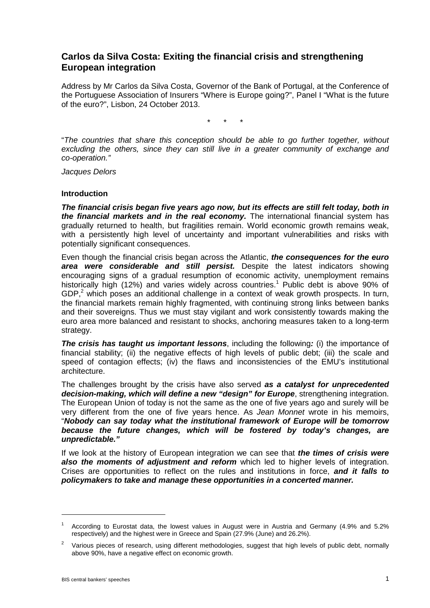# **Carlos da Silva Costa: Exiting the financial crisis and strengthening European integration**

Address by Mr Carlos da Silva Costa, Governor of the Bank of Portugal, at the Conference of the Portuguese Association of Insurers "Where is Europe going?", Panel I "What is the future of the euro?", Lisbon, 24 October 2013.

\* \* \*

"*The countries that share this conception should be able to go further together, without excluding the others, since they can still live in a greater community of exchange and co-operation."*

*Jacques Delors*

#### **Introduction**

*The financial crisis began five years ago now, but its effects are still felt today, both in the financial markets and in the real economy.* The international financial system has gradually returned to health, but fragilities remain. World economic growth remains weak, with a persistently high level of uncertainty and important vulnerabilities and risks with potentially significant consequences.

Even though the financial crisis began across the Atlantic, *the consequences for the euro area were considerable and still persist.* Despite the latest indicators showing encouraging signs of a gradual resumption of economic activity, unemployment remains historically high (12%) and varies widely across countries. <sup>1</sup> Public debt is above 90% of GDP,<sup>2</sup> which poses an additional challenge in a context of weak growth prospects. In turn, the financial markets remain highly fragmented, with continuing strong links between banks and their sovereigns. Thus we must stay vigilant and work consistently towards making the euro area more balanced and resistant to shocks, anchoring measures taken to a long-term strategy.

*The crisis has taught us important lessons*, including the following*:* (i) the importance of financial stability; (ii) the negative effects of high levels of public debt; (iii) the scale and speed of contagion effects; (iv) the flaws and inconsistencies of the EMU's institutional architecture.

The challenges brought by the crisis have also served *as a catalyst for unprecedented decision-making, which will define a new "design" for Europe*, strengthening integration. The European Union of today is not the same as the one of five years ago and surely will be very different from the one of five years hence. As *Jean Monnet* wrote in his memoirs, "*Nobody can say today what the institutional framework of Europe will be tomorrow because the future changes, which will be fostered by today's changes, are unpredictable."*

If we look at the history of European integration we can see that *the times of crisis were also the moments of adjustment and reform* which led to higher levels of integration. Crises are opportunities to reflect on the rules and institutions in force, *and it falls to policymakers to take and manage these opportunities in a concerted manner.*

-

<sup>&</sup>lt;sup>1</sup> According to Eurostat data, the lowest values in August were in Austria and Germany (4.9% and 5.2% respectively) and the highest were in Greece and Spain (27.9% (June) and 26.2%).

<sup>2</sup> Various pieces of research, using different methodologies, suggest that high levels of public debt, normally above 90%, have a negative effect on economic growth.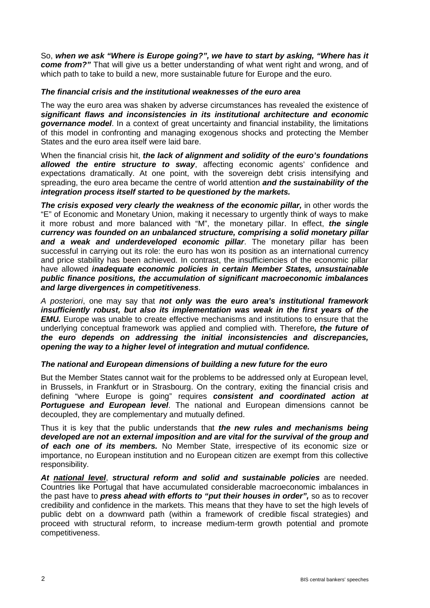So, *when we ask "Where is Europe going?", we have to start by asking, "Where has it come from?"* That will give us a better understanding of what went right and wrong, and of which path to take to build a new, more sustainable future for Europe and the euro.

### *The financial crisis and the institutional weaknesses of the euro area*

The way the euro area was shaken by adverse circumstances has revealed the existence of *significant flaws and inconsistencies in its institutional architecture and economic governance model*. In a context of great uncertainty and financial instability, the limitations of this model in confronting and managing exogenous shocks and protecting the Member States and the euro area itself were laid bare.

When the financial crisis hit, *the lack of alignment and solidity of the euro's foundations allowed the entire structure to sway*, affecting economic agents' confidence and expectations dramatically. At one point, with the sovereign debt crisis intensifying and spreading, the euro area became the centre of world attention *and the sustainability of the integration process itself started to be questioned by the markets.* 

*The crisis exposed very clearly the weakness of the economic pillar, in other words the* "E" of Economic and Monetary Union, making it necessary to urgently think of ways to make it more robust and more balanced with "M", the monetary pillar. In effect, *the single currency was founded on an unbalanced structure, comprising a solid monetary pillar and a weak and underdeveloped economic pillar*. The monetary pillar has been successful in carrying out its role: the euro has won its position as an international currency and price stability has been achieved. In contrast, the insufficiencies of the economic pillar have allowed *inadequate economic policies in certain Member States, unsustainable public finance positions, the accumulation of significant macroeconomic imbalances and large divergences in competitiveness*.

*A posteriori*, one may say that *not only was the euro area's institutional framework insufficiently robust, but also its implementation was weak in the first years of the EMU.* Europe was unable to create effective mechanisms and institutions to ensure that the underlying conceptual framework was applied and complied with. Therefore*, the future of the euro depends on addressing the initial inconsistencies and discrepancies, opening the way to a higher level of integration and mutual confidence.*

## *The national and European dimensions of building a new future for the euro*

But the Member States cannot wait for the problems to be addressed only at European level, in Brussels, in Frankfurt or in Strasbourg. On the contrary, exiting the financial crisis and defining "where Europe is going" requires *consistent and coordinated action at Portuguese and European level*. The national and European dimensions cannot be decoupled, they are complementary and mutually defined.

Thus it is key that the public understands that *the new rules and mechanisms being developed are not an external imposition and are vital for the survival of the group and of each one of its members.* No Member State, irrespective of its economic size or importance, no European institution and no European citizen are exempt from this collective responsibility.

*At national level*, *structural reform and solid and sustainable policies* are needed. Countries like Portugal that have accumulated considerable macroeconomic imbalances in the past have to *press ahead with efforts to "put their houses in order",* so as to recover credibility and confidence in the markets. This means that they have to set the high levels of public debt on a downward path (within a framework of credible fiscal strategies) and proceed with structural reform, to increase medium-term growth potential and promote competitiveness.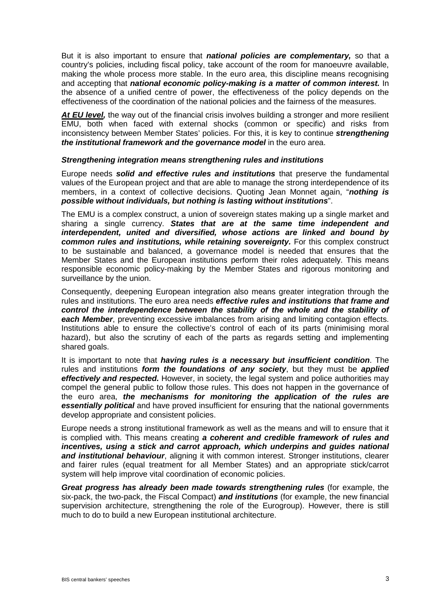But it is also important to ensure that *national policies are complementary,* so that a country's policies, including fiscal policy, take account of the room for manoeuvre available, making the whole process more stable. In the euro area, this discipline means recognising and accepting that *national economic policy-making is a matter of common interest*. In the absence of a unified centre of power, the effectiveness of the policy depends on the effectiveness of the coordination of the national policies and the fairness of the measures.

At **EU level,** the way out of the financial crisis involves building a stronger and more resilient EMU, both when faced with external shocks (common or specific) and risks from inconsistency between Member States' policies. For this, it is key to continue *strengthening the institutional framework and the governance model* **in the euro area.** 

### *Strengthening integration means strengthening rules and institutions*

Europe needs *solid and effective rules and institutions* that preserve the fundamental values of the European project and that are able to manage the strong interdependence of its members, in a context of collective decisions. Quoting Jean Monnet again, "*nothing is possible without individuals, but nothing is lasting without institutions*".

The EMU is a complex construct, a union of sovereign states making up a single market and sharing a single currency. *States that are at the same time independent and interdependent, united and diversified, whose actions are linked and bound by common rules and institutions, while retaining sovereignty.* For this complex construct to be sustainable and balanced, a governance model is needed that ensures that the Member States and the European institutions perform their roles adequately. This means responsible economic policy-making by the Member States and rigorous monitoring and surveillance by the union.

Consequently, deepening European integration also means greater integration through the rules and institutions. The euro area needs *effective rules and institutions that frame and control the interdependence between the stability of the whole and the stability of*  each Member, preventing excessive imbalances from arising and limiting contagion effects. Institutions able to ensure the collective's control of each of its parts (minimising moral hazard), but also the scrutiny of each of the parts as regards setting and implementing shared goals.

It is important to note that *having rules is a necessary but insufficient condition*. The rules and institutions *form the foundations of any society*, but they must be *applied effectively and respected.* However, in society, the legal system and police authorities may compel the general public to follow those rules. This does not happen in the governance of the euro area, *the mechanisms for monitoring the application of the rules are essentially political* and have proved insufficient for ensuring that the national governments develop appropriate and consistent policies.

Europe needs a strong institutional framework as well as the means and will to ensure that it is complied with. This means creating *a coherent and credible framework of rules and incentives, using a stick and carrot approach, which underpins and guides national* **and institutional behaviour**, aligning it with common interest. Stronger institutions, clearer and fairer rules (equal treatment for all Member States) and an appropriate stick/carrot system will help improve vital coordination of economic policies.

*Great progress has already been made towards strengthening rules (for example, the* six-pack, the two-pack, the Fiscal Compact) *and institutions* (for example, the new financial supervision architecture, strengthening the role of the Eurogroup). However, there is still much to do to build a new European institutional architecture.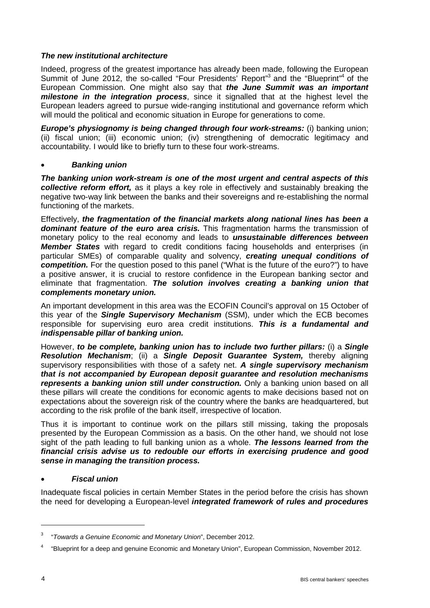## *The new institutional architecture*

Indeed, progress of the greatest importance has already been made, following the European Summit of June 2012, the so-called "Four Presidents' Report"<sup>3</sup> and the "Blueprint"<sup>4</sup> of the European Commission. One might also say that *the June Summit was an important milestone in the integration process*, since it signalled that at the highest level the European leaders agreed to pursue wide-ranging institutional and governance reform which will mould the political and economic situation in Europe for generations to come.

*Europe's physiognomy is being changed through four work-streams: (i) banking union;* (ii) fiscal union; (iii) economic union; (iv) strengthening of democratic legitimacy and accountability. I would like to briefly turn to these four work-streams.

## • *Banking union*

*The banking union work-stream is one of the most urgent and central aspects of this collective reform effort,* as it plays a key role in effectively and sustainably breaking the negative two-way link between the banks and their sovereigns and re-establishing the normal functioning of the markets.

Effectively, *the fragmentation of the financial markets along national lines has been a dominant feature of the euro area crisis.* This fragmentation harms the transmission of monetary policy to the real economy and leads to *unsustainable differences between Member States* with regard to credit conditions facing households and enterprises (in particular SMEs) of comparable quality and solvency, *creating unequal conditions of competition.* For the question posed to this panel ("What is the future of the euro?") to have a positive answer, it is crucial to restore confidence in the European banking sector and eliminate that fragmentation. *The solution involves creating a banking union that complements monetary union.* 

An important development in this area was the ECOFIN Council's approval on 15 October of this year of the *Single Supervisory Mechanism* (SSM), under which the ECB becomes responsible for supervising euro area credit institutions. *This is a fundamental and indispensable pillar of banking union.* 

However, *to be complete, banking union has to include two further pillars:* (i) a *Single Resolution Mechanism*; (ii) a *Single Deposit Guarantee System,* thereby aligning supervisory responsibilities with those of a safety net. *A single supervisory mechanism that is not accompanied by European deposit guarantee and resolution mechanisms represents a banking union still under construction.* Only a banking union based on all these pillars will create the conditions for economic agents to make decisions based not on expectations about the sovereign risk of the country where the banks are headquartered, but according to the risk profile of the bank itself, irrespective of location.

Thus it is important to continue work on the pillars still missing, taking the proposals presented by the European Commission as a basis. On the other hand, we should not lose sight of the path leading to full banking union as a whole. *The lessons learned from the financial crisis advise us to redouble our efforts in exercising prudence and good sense in managing the transition process.*

# • *Fiscal union*

Inadequate fiscal policies in certain Member States in the period before the crisis has shown the need for developing a European-level *integrated framework of rules and procedures* 

-

<sup>3</sup> "*Towards a Genuine Economic and Monetary Union*", December 2012.

<sup>4</sup> "Blueprint for a deep and genuine Economic and Monetary Union", European Commission, November 2012.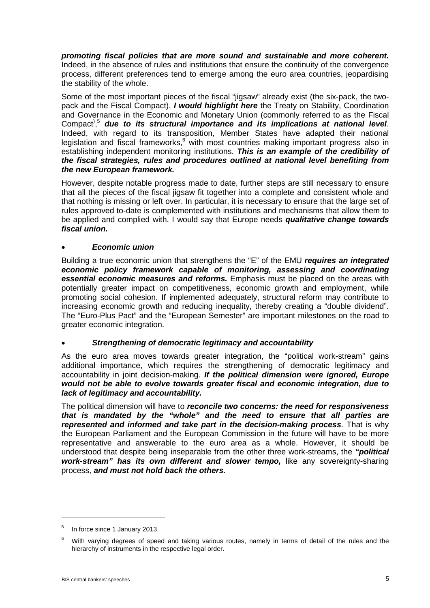*promoting fiscal policies that are more sound and sustainable and more coherent.*  Indeed, in the absence of rules and institutions that ensure the continuity of the convergence process, different preferences tend to emerge among the euro area countries, jeopardising the stability of the whole.

Some of the most important pieces of the fiscal "jigsaw" already exist (the six-pack, the twopack and the Fiscal Compact). *I would highlight here* the Treaty on Stability, Coordination and Governance in the Economic and Monetary Union (commonly referred to as the Fiscal Compact) , <sup>5</sup> *due to its structural importance and its implications at national level*. Indeed, with regard to its transposition, Member States have adapted their national legislation and fiscal frameworks,<sup>6</sup> with most countries making important progress also in establishing independent monitoring institutions. *This is an example of the credibility of the fiscal strategies, rules and procedures outlined at national level benefiting from the new European framework.*

However, despite notable progress made to date, further steps are still necessary to ensure that all the pieces of the fiscal jigsaw fit together into a complete and consistent whole and that nothing is missing or left over. In particular, it is necessary to ensure that the large set of rules approved to-date is complemented with institutions and mechanisms that allow them to be applied and complied with. I would say that Europe needs *qualitative change towards fiscal union.* 

## • *Economic union*

Building a true economic union that strengthens the "E" of the EMU *requires an integrated economic policy framework capable of monitoring, assessing and coordinating essential economic measures and reforms.* Emphasis must be placed on the areas with potentially greater impact on competitiveness, economic growth and employment, while promoting social cohesion. If implemented adequately, structural reform may contribute to increasing economic growth and reducing inequality, thereby creating a "double dividend". The "Euro-Plus Pact" and the "European Semester" are important milestones on the road to greater economic integration.

## • *Strengthening of democratic legitimacy and accountability*

As the euro area moves towards greater integration, the "political work-stream" gains additional importance, which requires the strengthening of democratic legitimacy and accountability in joint decision-making. *If the political dimension were ignored, Europe would not be able to evolve towards greater fiscal and economic integration, due to lack of legitimacy and accountability.* 

The political dimension will have to *reconcile two concerns: the need for responsiveness that is mandated by the "whole" and the need to ensure that all parties are represented and informed and take part in the decision-making process*. That is why the European Parliament and the European Commission in the future will have to be more representative and answerable to the euro area as a whole. However, it should be understood that despite being inseparable from the other three work-streams, the *"political work-stream" has its own different and slower tempo,* like any sovereignty-sharing process, *and must not hold back the others.*

<u>.</u>

<sup>5</sup> In force since 1 January 2013.

With varying degrees of speed and taking various routes, namely in terms of detail of the rules and the hierarchy of instruments in the respective legal order.